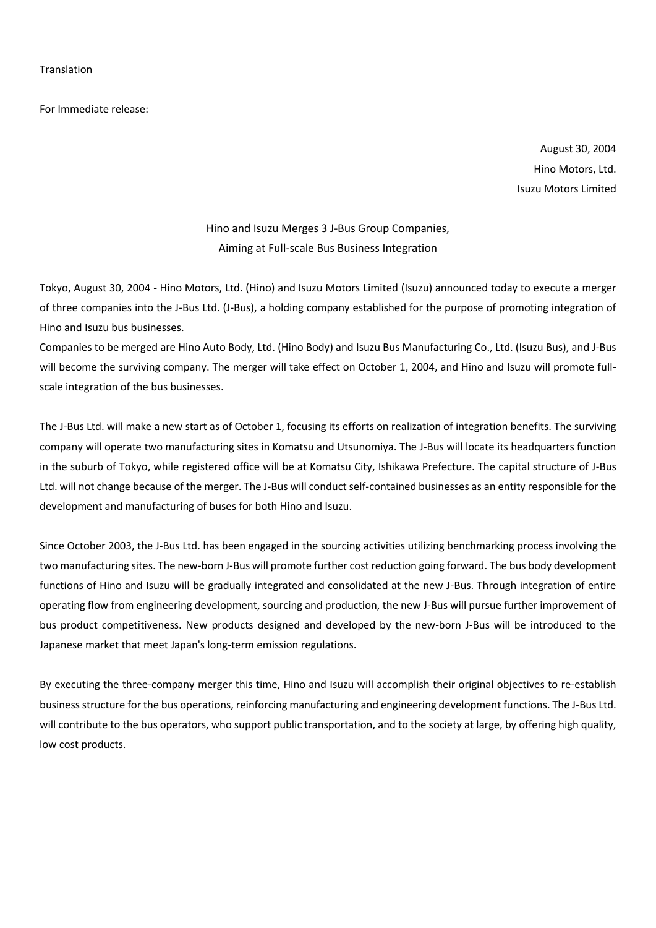For Immediate release:

August 30, 2004 Hino Motors, Ltd. Isuzu Motors Limited

Hino and Isuzu Merges 3 J-Bus Group Companies, Aiming at Full-scale Bus Business Integration

Tokyo, August 30, 2004 - Hino Motors, Ltd. (Hino) and Isuzu Motors Limited (Isuzu) announced today to execute a merger of three companies into the J-Bus Ltd. (J-Bus), a holding company established for the purpose of promoting integration of Hino and Isuzu bus businesses.

Companies to be merged are Hino Auto Body, Ltd. (Hino Body) and Isuzu Bus Manufacturing Co., Ltd. (Isuzu Bus), and J-Bus will become the surviving company. The merger will take effect on October 1, 2004, and Hino and Isuzu will promote fullscale integration of the bus businesses.

The J-Bus Ltd. will make a new start as of October 1, focusing its efforts on realization of integration benefits. The surviving company will operate two manufacturing sites in Komatsu and Utsunomiya. The J-Bus will locate its headquarters function in the suburb of Tokyo, while registered office will be at Komatsu City, Ishikawa Prefecture. The capital structure of J-Bus Ltd. will not change because of the merger. The J-Bus will conduct self-contained businesses as an entity responsible for the development and manufacturing of buses for both Hino and Isuzu.

Since October 2003, the J-Bus Ltd. has been engaged in the sourcing activities utilizing benchmarking process involving the two manufacturing sites. The new-born J-Bus will promote further cost reduction going forward. The bus body development functions of Hino and Isuzu will be gradually integrated and consolidated at the new J-Bus. Through integration of entire operating flow from engineering development, sourcing and production, the new J-Bus will pursue further improvement of bus product competitiveness. New products designed and developed by the new-born J-Bus will be introduced to the Japanese market that meet Japan's long-term emission regulations.

By executing the three-company merger this time, Hino and Isuzu will accomplish their original objectives to re-establish business structure for the bus operations, reinforcing manufacturing and engineering development functions. The J-Bus Ltd. will contribute to the bus operators, who support public transportation, and to the society at large, by offering high quality, low cost products.